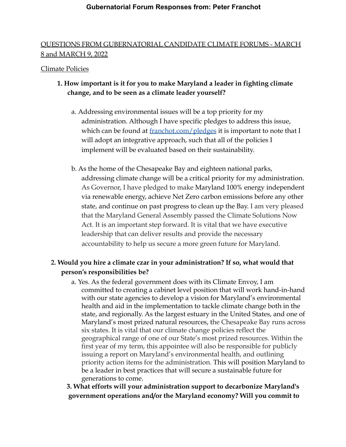# QUESTIONS FROM GUBERNATORIAL CANDIDATE CLIMATE FORUMS - MARCH 8 and MARCH 9, 2022

### Climate Policies

## **1. How important is it for you to make Maryland a leader in fighting climate change, and to be seen as a climate leader yourself?**

- a. Addressing environmental issues will be a top priority for my administration. Although I have specific pledges to address this issue, which can be found at franchot.com/pledges it is important to note that I will adopt an integrative approach, such that all of the policies I implement will be evaluated based on their sustainability.
- b. As the home of the Chesapeake Bay and eighteen national parks, addressing climate change will be a critical priority for my administration. As Governor, I have pledged to make Maryland 100% energy independent via renewable energy, achieve Net Zero carbon emissions before any other state, and continue on past progress to clean up the Bay. I am very pleased that the Maryland General Assembly passed the Climate Solutions Now Act. It is an important step forward. It is vital that we have executive leadership that can deliver results and provide the necessary accountability to help us secure a more green future for Maryland.

### **2. Would you hire a climate czar in your administration? If so, what would that person's responsibilities be?**

a. Yes. As the federal government does with its Climate Envoy, I am committed to creating a cabinet level position that will work hand-in-hand with our state agencies to develop a vision for Maryland's environmental health and aid in the implementation to tackle climate change both in the state, and regionally. As the largest estuary in the United States, and one of Maryland's most prized natural resources, the Chesapeake Bay runs across six states. It is vital that our climate change policies reflect the geographical range of one of our State's most prized resources. Within the first year of my term, this appointee will also be responsible for publicly issuing a report on Maryland's environmental health, and outlining priority action items for the administration. This will position Maryland to be a leader in best practices that will secure a sustainable future for generations to come.

**3. What efforts will your administration support to decarbonize Maryland's government operations and/or the Maryland economy? Will you commit to**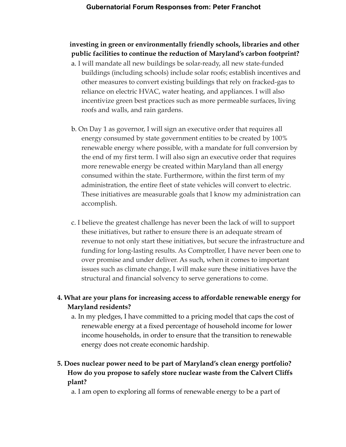# **investing in green or environmentally friendly schools, libraries and other public facilities to continue the reduction of Maryland's carbon footprint?**

- a. I will mandate all new buildings be solar-ready, all new state-funded buildings (including schools) include solar roofs; establish incentives and other measures to convert existing buildings that rely on fracked-gas to reliance on electric HVAC, water heating, and appliances. I will also incentivize green best practices such as more permeable surfaces, living roofs and walls, and rain gardens.
- b. On Day 1 as governor, I will sign an executive order that requires all energy consumed by state government entities to be created by 100% renewable energy where possible, with a mandate for full conversion by the end of my first term. I will also sign an executive order that requires more renewable energy be created within Maryland than all energy consumed within the state. Furthermore, within the first term of my administration, the entire fleet of state vehicles will convert to electric. These initiatives are measurable goals that I know my administration can accomplish.
- c. I believe the greatest challenge has never been the lack of will to support these initiatives, but rather to ensure there is an adequate stream of revenue to not only start these initiatives, but secure the infrastructure and funding for long-lasting results. As Comptroller, I have never been one to over promise and under deliver. As such, when it comes to important issues such as climate change, I will make sure these initiatives have the structural and financial solvency to serve generations to come.

# **4. What are your plans for increasing access to affordable renewable energy for Maryland residents?**

a. In my pledges, I have committed to a pricing model that caps the cost of renewable energy at a fixed percentage of household income for lower income households, in order to ensure that the transition to renewable energy does not create economic hardship.

# **5. Does nuclear power need to be part of Maryland's clean energy portfolio? How do you propose to safely store nuclear waste from the Calvert Cliffs plant?**

a. I am open to exploring all forms of renewable energy to be a part of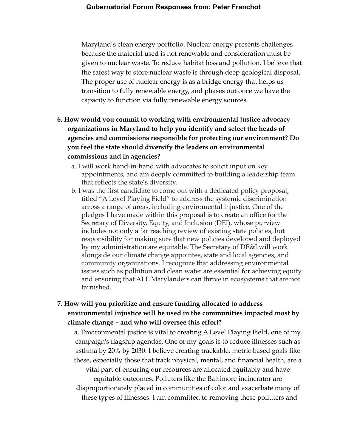#### **Gubernatorial Forum Responses from: Peter Franchot**

Maryland's clean energy portfolio. Nuclear energy presents challenges because the material used is not renewable and consideration must be given to nuclear waste. To reduce habitat loss and pollution, I believe that the safest way to store nuclear waste is through deep geological disposal. The proper use of nuclear energy is as a bridge energy that helps us transition to fully renewable energy, and phases out once we have the capacity to function via fully renewable energy sources.

# **6. How would you commit to working with environmental justice advocacy organizations in Maryland to help you identify and select the heads of agencies and commissions responsible for protecting our environment? Do you feel the state should diversify the leaders on environmental commissions and in agencies?**

- a. I will work hand-in-hand with advocates to solicit input on key appointments, and am deeply committed to building a leadership team that reflects the state's diversity.
- b. I was the first candidate to come out with a dedicated policy proposal, titled "A Level Playing Field" to address the systemic discrimination across a range of areas, including enviromental injustice. One of the pledges I have made within this proposal is to create an office for the Secretary of Diversity, Equity, and Inclusion (DEI), whose purview includes not only a far reaching review of existing state policies, but responsibility for making sure that new policies developed and deployed by my administration are equitable. The Secretary of DE&I will work alongside our climate change appointee, state and local agencies, and community organizations. I recognize that addressing environmental issues such as pollution and clean water are essential for achieving equity and ensuring that ALL Marylanders can thrive in ecosystems that are not tarnished.

### **7. How will you prioritize and ensure funding allocated to address environmental injustice will be used in the communities impacted most by climate change – and who will oversee this effort?**

a. Environmental justice is vital to creating A Level Playing Field, one of my campaign's flagship agendas. One of my goals is to reduce illnesses such as asthma by 20% by 2030. I believe creating trackable, metric based goals like these, especially those that track physical, mental, and financial health, are a vital part of ensuring our resources are allocated equitably and have equitable outcomes. Polluters like the Baltimore incinerator are disproportionately placed in communities of color and exacerbate many of these types of illnesses. I am committed to removing these polluters and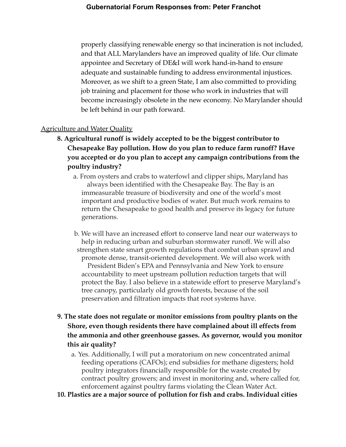properly classifying renewable energy so that incineration is not included, and that ALL Marylanders have an improved quality of life. Our climate appointee and Secretary of DE&I will work hand-in-hand to ensure adequate and sustainable funding to address environmental injustices. Moreover, as we shift to a green State, I am also committed to providing job training and placement for those who work in industries that will become increasingly obsolete in the new economy. No Marylander should be left behind in our path forward.

### Agriculture and Water Quality

- **8. Agricultural runoff is widely accepted to be the biggest contributor to Chesapeake Bay pollution. How do you plan to reduce farm runoff? Have you accepted or do you plan to accept any campaign contributions from the poultry industry?**
	- a. From oysters and crabs to waterfowl and clipper ships, Maryland has always been identified with the Chesapeake Bay. The Bay is an immeasurable treasure of biodiversity and one of the world's most important and productive bodies of water. But much work remains to return the Chesapeake to good health and preserve its legacy for future generations.
	- b. We will have an increased effort to conserve land near our waterways to help in reducing urban and suburban stormwater runoff. We will also strengthen state smart growth regulations that combat urban sprawl and promote dense, transit-oriented development. We will also work with President Biden's EPA and Pennsylvania and New York to ensure accountability to meet upstream pollution reduction targets that will protect the Bay. I also believe in a statewide effort to preserve Maryland's tree canopy, particularly old growth forests, because of the soil preservation and filtration impacts that root systems have.
- **9. The state does not regulate or monitor emissions from poultry plants on the Shore, even though residents there have complained about ill effects from the ammonia and other greenhouse gasses. As governor, would you monitor this air quality?**
	- a. Yes. Additionally, I will put a moratorium on new concentrated animal feeding operations (CAFOs); end subsidies for methane digesters; hold poultry integrators financially responsible for the waste created by contract poultry growers; and invest in monitoring and, where called for, enforcement against poultry farms violating the Clean Water Act.
- **10. Plastics are a major source of pollution for fish and crabs. Individual cities**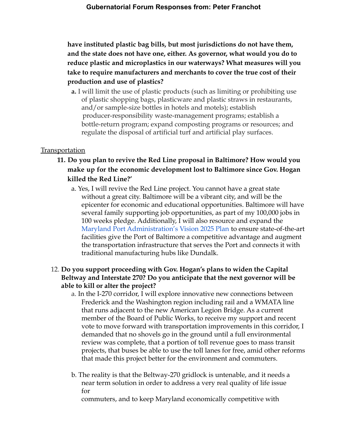**have instituted plastic bag bills, but most jurisdictions do not have them, and the state does not have one, either. As governor, what would you do to reduce plastic and microplastics in our waterways? What measures will you take to require manufacturers and merchants to cover the true cost of their production and use of plastics?**

**a.** I will limit the use of plastic products (such as limiting or prohibiting use of plastic shopping bags, plasticware and plastic straws in restaurants, and/or sample-size bottles in hotels and motels); establish producer-responsibility waste-management programs; establish a bottle-return program; expand composting programs or resources; and regulate the disposal of artificial turf and artificial play surfaces.

### **Transportation**

- **11. Do you plan to revive the Red Line proposal in Baltimore? How would you make up for the economic development lost to Baltimore since Gov. Hogan killed the Red Line?'**
	- a. Yes, I will revive the Red Line project. You cannot have a great state without a great city. Baltimore will be a vibrant city, and will be the epicenter for economic and educational opportunities. Baltimore will have several family supporting job opportunities, as part of my 100,000 jobs in 100 weeks pledge. Additionally, I will also resource and expand the Maryland Port Administration's Vision 2025 Plan to ensure state-of-the-art facilities give the Port of Baltimore a competitive advantage and augment the transportation infrastructure that serves the Port and connects it with traditional manufacturing hubs like Dundalk.
- 12. **Do you support proceeding with Gov. Hogan's plans to widen the Capital Beltway and Interstate 270? Do you anticipate that the next governor will be able to kill or alter the project?**
	- a. In the I-270 corridor, I will explore innovative new connections between Frederick and the Washington region including rail and a WMATA line that runs adjacent to the new American Legion Bridge. As a current member of the Board of Public Works, to receive my support and recent vote to move forward with transportation improvements in this corridor, I demanded that no shovels go in the ground until a full environmental review was complete, that a portion of toll revenue goes to mass transit projects, that buses be able to use the toll lanes for free, amid other reforms that made this project better for the environment and commuters.
	- b. The reality is that the Beltway-270 gridlock is untenable, and it needs a near term solution in order to address a very real quality of life issue for

commuters, and to keep Maryland economically competitive with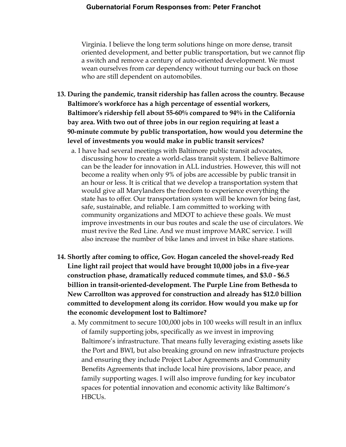Virginia. I believe the long term solutions hinge on more dense, transit oriented development, and better public transportation, but we cannot flip a switch and remove a century of auto-oriented development. We must wean ourselves from car dependency without turning our back on those who are still dependent on automobiles.

- **13. During the pandemic, transit ridership has fallen across the country. Because Baltimore's workforce has a high percentage of essential workers, Baltimore's ridership fell about 55-60% compared to 94% in the California bay area. With two out of three jobs in our region requiring at least a 90-minute commute by public transportation, how would you determine the level of investments you would make in public transit services?**
	- a. I have had several meetings with Baltimore public transit advocates, discussing how to create a world-class transit system. I believe Baltimore can be the leader for innovation in ALL industries. However, this will not become a reality when only 9% of jobs are accessible by public transit in an hour or less. It is critical that we develop a transportation system that would give all Marylanders the freedom to experience everything the state has to offer. Our transportation system will be known for being fast, safe, sustainable, and reliable. I am committed to working with community organizations and MDOT to achieve these goals. We must improve investments in our bus routes and scale the use of circulators. We must revive the Red Line. And we must improve MARC service. I will also increase the number of bike lanes and invest in bike share stations.
- **14. Shortly after coming to office, Gov. Hogan canceled the shovel-ready Red Line light rail project that would have brought 10,000 jobs in a five-year construction phase, dramatically reduced commute times, and \$3.0 - \$6.5 billion in transit-oriented-development. The Purple Line from Bethesda to New Carrollton was approved for construction and already has \$12.0 billion committed to development along its corridor. How would you make up for the economic development lost to Baltimore?**
	- a. My commitment to secure 100,000 jobs in 100 weeks will result in an influx of family supporting jobs, specifically as we invest in improving Baltimore's infrastructure. That means fully leveraging existing assets like the Port and BWI, but also breaking ground on new infrastructure projects and ensuring they include Project Labor Agreements and Community Benefits Agreements that include local hire provisions, labor peace, and family supporting wages. I will also improve funding for key incubator spaces for potential innovation and economic activity like Baltimore's HBCUs.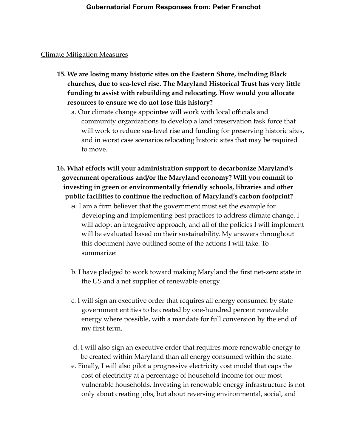### Climate Mitigation Measures

- **15. We are losing many historic sites on the Eastern Shore, including Black churches, due to sea-level rise. The Maryland Historical Trust has very little funding to assist with rebuilding and relocating. How would you allocate resources to ensure we do not lose this history?**
	- a. Our climate change appointee will work with local officials and community organizations to develop a land preservation task force that will work to reduce sea-level rise and funding for preserving historic sites, and in worst case scenarios relocating historic sites that may be required to move.
- **16. What efforts will your administration support to decarbonize Maryland's government operations and/or the Maryland economy? Will you commit to investing in green or environmentally friendly schools, libraries and other public facilities to continue the reduction of Maryland's carbon footprint?**
	- a. I am a firm believer that the government must set the example for developing and implementing best practices to address climate change. I will adopt an integrative approach, and all of the policies I will implement will be evaluated based on their sustainability. My answers throughout this document have outlined some of the actions I will take. To summarize:
	- b. I have pledged to work toward making Maryland the first net-zero state in the US and a net supplier of renewable energy.
	- c. I will sign an executive order that requires all energy consumed by state government entities to be created by one-hundred percent renewable energy where possible, with a mandate for full conversion by the end of my first term.
	- d. I will also sign an executive order that requires more renewable energy to be created within Maryland than all energy consumed within the state.
	- e. Finally, I will also pilot a progressive electricity cost model that caps the cost of electricity at a percentage of household income for our most vulnerable households. Investing in renewable energy infrastructure is not only about creating jobs, but about reversing environmental, social, and